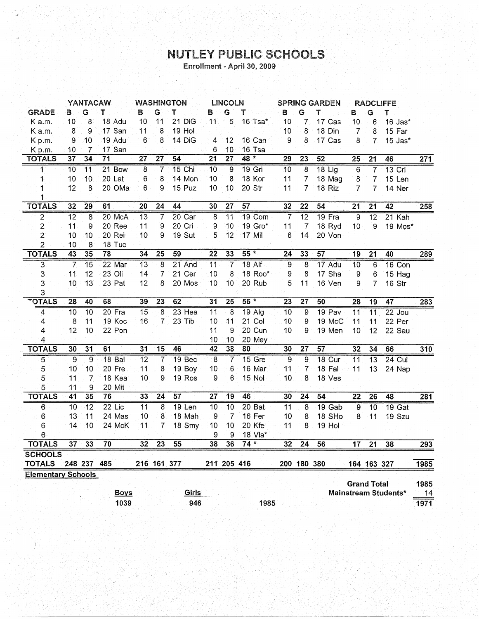## **NUTLEY PUBLIC SCHOOLS**<br>Enrollment - April 30, 2009

|                           | YANTACAW        |                 | <b>WASHINGTON</b> |                 |                 | LINCOLN           |                 | <b>SPRING GARDEN</b> |               | <b>RADCLIFFE</b> |                 |                 |                    |                 |                      |                  |
|---------------------------|-----------------|-----------------|-------------------|-----------------|-----------------|-------------------|-----------------|----------------------|---------------|------------------|-----------------|-----------------|--------------------|-----------------|----------------------|------------------|
| <b>GRADE</b>              | В               | G               | т                 | в               | G.              | Т                 | в               | G                    | т             | B                | G               | т               | В                  | G               | T                    |                  |
| Ka.m.                     | 10              | 8               | 18 Adu            | 10              | 11              | 21 DiG            | 11              | 5                    | 16 Tsa*       | 10               | 7               | 17 Cas          | 10                 | 6               | $16$ Jas $*$         |                  |
| K a.m.                    | 8               | 9               | 17 San            | 11              | 8               | 19 Hol            |                 |                      |               | 10               | 8               | 18 Din          | $\overline{7}$     | 8               | 15 Far               |                  |
| Kp.m.                     | 9               | 10              | 19 Adu            | 6               | 8               | 14 DiG            | 4               | 12                   | 16 Can        | 9                | 8               | 17 Cas          | 8                  | 7               | 15 Jas*              |                  |
| K p.m.                    | 10              | 7               | 17 San            |                 |                 |                   | 6               | 10                   | 16 Tsa        |                  |                 |                 |                    |                 |                      |                  |
| <b>TOTALS</b>             | $\overline{37}$ | $\overline{34}$ | $\overline{71}$   | $\overline{27}$ | $\overline{27}$ | $\overline{54}$   | $\overline{21}$ | $\overline{27}$      | $48 *$        | $\overline{29}$  | $\overline{23}$ | $\overline{52}$ | $\overline{25}$    | $\overline{21}$ | 46                   | $\overline{271}$ |
| $\mathbf{1}$              | 10              | 11              | 21 Bow            | 8               | 7               | $15$ Chi          | $\overline{10}$ | ज़                   | 19 Gri        | $\overline{10}$  | 8               | 18 Lig          | 6                  | 7               | $13$ Cri             |                  |
| 1                         | 10              | 10              | 20 Lat            | 6               | 8               | 14 Mon            | 10              | 8                    | 18 Kor        | 11               | 7               | 18 Mag          | 8                  | 7               | 15 Len               |                  |
| 1                         | 12              | 8               | 20 OMa            | 6               | 9               | 15 Puz            | 10              | 10                   | 20 Str        | 11               | 7               | 18 Riz          | 7                  | 7               | 14 Ner               |                  |
| 1                         |                 |                 |                   |                 |                 |                   |                 |                      |               |                  |                 |                 |                    |                 |                      |                  |
| <b>TOTALS</b>             | 32              | $\overline{29}$ | 61                | $\overline{20}$ | $\overline{24}$ | 44                | 30              | $\overline{27}$      | 57            | 32               | $\overline{22}$ | 54              | $\overline{21}$    | $\overline{21}$ | $\overline{42}$      | 258              |
| $\overline{2}$            | $\overline{12}$ | 8               | 20 McA            | $\overline{13}$ | 7               | $20$ Car          | $\overline{8}$  | $\overline{11}$      | 19 Com        | 7                | $\overline{12}$ | $19$ Fra        | $\overline{9}$     | $\overline{12}$ | 21 Kah               |                  |
| 2                         | 11              | 9               | 20 Ree            | 11              | 9               | 20 Cri            | 9               | 10                   | 19 Gro*       | 11               | 7               | 18 Ryd          | 10                 | 9               | 19 Mos*              |                  |
| $\overline{2}$            | 10              | 10              | 20 Rei            | 10              | 9               | 19 Sut            | 5               | 12                   | 17 Mil        | 6                | 14              | 20 Von          |                    |                 |                      |                  |
| 2                         | 10              | 8               | 18 Tuc            |                 |                 |                   |                 |                      |               |                  |                 |                 |                    |                 |                      |                  |
| <b>TOTALS</b>             | 43              | 35              | 78                | 34              | $\overline{25}$ | 59                | $\overline{22}$ | 33                   | $55*$         | 24               | 33              | 57              | 19                 | $\overline{21}$ | 40                   | 289              |
| 3                         | 7               | $\overline{15}$ | 22 Mar            | $\overline{13}$ | 8               | 21 And            | $\overline{11}$ | 7                    | <b>18 Alf</b> | 9                | 8               | 17 Adu          | 10                 | 6               | 16 Con               |                  |
| 3                         | 11              | 12              | 23 Oli            | 14              | 7               | 21 Cer            | 10              | 8                    | 18 Roo*       | 9                | 8               | 17 Sha          | 9                  | 6               | 15 Hag               |                  |
| 3                         | 10              | 13              | 23 Pat            | 12              | 8               | 20 Mos            | 10              | 10                   | 20 Rub        | 5                | 11              | 16 Ven          | 9                  | 7               | 16 Str               |                  |
| 3                         |                 |                 |                   |                 |                 |                   |                 |                      |               |                  |                 |                 |                    |                 |                      |                  |
| <b>TOTALS</b>             | $\overline{28}$ | 40              | 68                | 39              | $\overline{23}$ | 62                | $\overline{31}$ | $\overline{25}$      | 56 *          | $\overline{23}$  | $\overline{27}$ | 50              | $\overline{28}$    | 19              | 47                   | 283              |
| 4                         | 10              | 10              | $20$ Fra          | 15              | 8               | $23$ Hea          | $\overline{11}$ | 8                    | $19$ Alg      | $\overline{10}$  | 9               | $19$ Pav        | $\overline{11}$    | $\overline{11}$ | $22$ Jou             |                  |
| $\overline{\mathcal{A}}$  | 8               | 11              | 19 Koc            | 16              | $\overline{7}$  | 23 Tib            | 10              | 11                   | 21 Col        | 10               | 9               | 19 McC          | 11                 | 11              | 22 Per               |                  |
| 4                         | 12              | 10              | 22 Pon            |                 |                 |                   | 11              | 9                    | 20 Cun        | 10               | 9               | 19 Men          | 10                 | 12              | 22 Sau               |                  |
| 4                         |                 |                 |                   |                 |                 |                   | 10              | 10                   | 20 Mey        |                  |                 |                 |                    |                 |                      |                  |
| <b>TOTALS</b>             | 30              | $\overline{31}$ | 61                | $\overline{31}$ | 15              | 46                | $\overline{42}$ | $\overline{38}$      | 80            | 30               | 27              | 57              | 32                 | $\overline{34}$ | 66                   | 310              |
| 5                         | 9               | 9               | 18 Bal            | $\overline{12}$ | 7               | 19 <sub>Bec</sub> | 8               | $\overline{7}$       | 15 Gre        | 9                | 9               | $18$ Cur        | $\overline{11}$    | $\overline{13}$ | $24$ Cul             |                  |
| 5                         | 10              | 10              | 20 Fre            | 11              | 8               | 19 Boy            | 10              | 6                    | 16 Mar        | 11               | $\overline{7}$  | 18 Fal          | 11                 | 13              | 24 Nap               |                  |
| 5                         | 11              | 7               | 18 Kea            | 10              | 9               | 19 Ros            | 9               | 6                    | 15 Nol        | 10               | 8               | 18 Ves          |                    |                 |                      |                  |
| 5                         | 11              | 9               | 20 Mit            |                 |                 |                   |                 |                      |               |                  |                 |                 |                    |                 |                      |                  |
| <b>TOTALS</b>             | 41              | $\overline{35}$ | 76                | 33              | $\overline{24}$ | $\overline{57}$   | $\overline{27}$ | $\overline{19}$      | 46            | 30               | $\overline{24}$ | 54              | $\overline{22}$    | $\overline{26}$ | 48                   | 281              |
| $\overline{6}$            | $\overline{10}$ | $\overline{12}$ | $22$ Lic          | $\overline{11}$ | 8               | $19$ Len          | $\overline{10}$ | $\overline{10}$      | 20 Bat        | $\overline{11}$  | 8               | 19 Gab          | $\overline{9}$     | $\overline{10}$ | $19$ Gat             |                  |
| 6                         | 13              | 11              | 24 Mas            | 10              | 8               | 18 Mah            | 9               | $\overline{7}$       | 16 Fer        | 10               | 8               | 18 SHo          | 8                  | 11              | 19 Szu               |                  |
| 6                         | 14              | 10              | 24 McK            | 11              | 7               | 18 Smy            | 10              | 10                   | 20 Kfe        | 11               | 8               | 19 Hol          |                    |                 |                      |                  |
| 6                         |                 |                 |                   |                 |                 |                   | 9               | 9                    | 18 Vla*       |                  |                 |                 |                    |                 |                      |                  |
| <b>TOTALS</b>             | 37              | 33              | 70                | 32              | $\overline{23}$ | 55                | $\overline{38}$ | 36                   | $74*$         | 32               | 24              | 56              | $\overline{17}$    | $\overline{21}$ | 38                   | 293              |
| <b>SCHOOLS</b>            |                 |                 |                   |                 |                 |                   |                 |                      |               |                  |                 |                 |                    |                 |                      |                  |
| <b>TOTALS</b>             |                 | 248 237 485     |                   |                 | 216 161 377     |                   | 211 205 416     |                      |               |                  | 200 180 380     |                 |                    | 164 163 327     |                      | 1985             |
| <b>Elementary Schools</b> |                 |                 |                   |                 |                 |                   |                 |                      |               |                  |                 |                 |                    |                 |                      |                  |
|                           |                 |                 |                   |                 |                 |                   |                 |                      |               |                  |                 |                 | <b>Grand Total</b> |                 |                      | 1985             |
|                           |                 |                 | <b>Boys</b>       |                 |                 | Girls             |                 |                      |               |                  |                 |                 |                    |                 | Mainstream Students* | 14               |
|                           |                 |                 | 1039              |                 |                 | 946               |                 |                      | 1985          |                  |                 |                 |                    |                 |                      | 1971             |